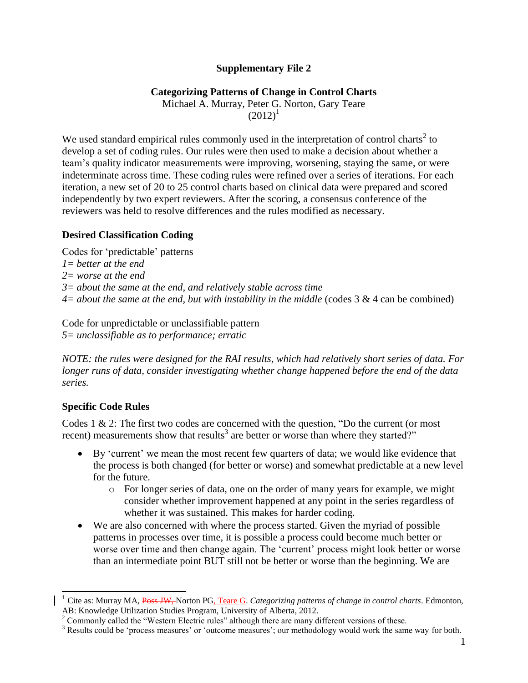### **Supplementary File 2**

# **Categorizing Patterns of Change in Control Charts**

Michael A. Murray, Peter G. Norton, Gary Teare  $(2012)^1$ 

We used standard empirical rules commonly used in the interpretation of control charts<sup>2</sup> to develop a set of coding rules. Our rules were then used to make a decision about whether a team"s quality indicator measurements were improving, worsening, staying the same, or were indeterminate across time. These coding rules were refined over a series of iterations. For each iteration, a new set of 20 to 25 control charts based on clinical data were prepared and scored independently by two expert reviewers. After the scoring, a consensus conference of the reviewers was held to resolve differences and the rules modified as necessary.

### **Desired Classification Coding**

Codes for "predictable" patterns *1= better at the end 2= worse at the end 3= about the same at the end, and relatively stable across time 4= about the same at the end, but with instability in the middle* (codes 3 & 4 can be combined)

Code for unpredictable or unclassifiable pattern *5= unclassifiable as to performance; erratic*

*NOTE: the rules were designed for the RAI results, which had relatively short series of data. For longer runs of data, consider investigating whether change happened before the end of the data series.*

# **Specific Code Rules**

 $\overline{\phantom{a}}$ 

Codes 1 & 2: The first two codes are concerned with the question, "Do the current (or most recent) measurements show that results<sup>3</sup> are better or worse than where they started?"

- By "current" we mean the most recent few quarters of data; we would like evidence that the process is both changed (for better or worse) and somewhat predictable at a new level for the future.
	- o For longer series of data, one on the order of many years for example, we might consider whether improvement happened at any point in the series regardless of whether it was sustained. This makes for harder coding.
- We are also concerned with where the process started. Given the myriad of possible patterns in processes over time, it is possible a process could become much better or worse over time and then change again. The 'current' process might look better or worse than an intermediate point BUT still not be better or worse than the beginning. We are

<sup>&</sup>lt;sup>1</sup> Cite as: Murray MA, Poss JW, Norton PG, Teare G. *Categorizing patterns of change in control charts*. Edmonton, AB: Knowledge Utilization Studies Program, University of Alberta, 2012.

<sup>&</sup>lt;sup>2</sup> Commonly called the "Western Electric rules" although there are many different versions of these.

<sup>&</sup>lt;sup>3</sup> Results could be 'process measures' or 'outcome measures'; our methodology would work the same way for both.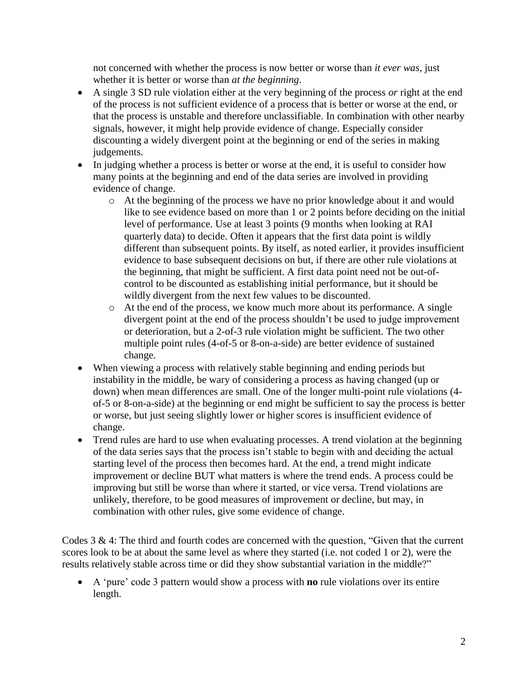not concerned with whether the process is now better or worse than *it ever was*, just whether it is better or worse than *at the beginning*.

- A single 3 SD rule violation either at the very beginning of the process *or* right at the end of the process is not sufficient evidence of a process that is better or worse at the end, or that the process is unstable and therefore unclassifiable. In combination with other nearby signals, however, it might help provide evidence of change. Especially consider discounting a widely divergent point at the beginning or end of the series in making judgements.
- In judging whether a process is better or worse at the end, it is useful to consider how many points at the beginning and end of the data series are involved in providing evidence of change.
	- o At the beginning of the process we have no prior knowledge about it and would like to see evidence based on more than 1 or 2 points before deciding on the initial level of performance. Use at least 3 points (9 months when looking at RAI quarterly data) to decide. Often it appears that the first data point is wildly different than subsequent points. By itself, as noted earlier, it provides insufficient evidence to base subsequent decisions on but, if there are other rule violations at the beginning, that might be sufficient. A first data point need not be out-ofcontrol to be discounted as establishing initial performance, but it should be wildly divergent from the next few values to be discounted.
	- o At the end of the process, we know much more about its performance. A single divergent point at the end of the process shouldn"t be used to judge improvement or deterioration, but a 2-of-3 rule violation might be sufficient. The two other multiple point rules (4-of-5 or 8-on-a-side) are better evidence of sustained change.
- When viewing a process with relatively stable beginning and ending periods but instability in the middle, be wary of considering a process as having changed (up or down) when mean differences are small. One of the longer multi-point rule violations (4 of-5 or 8-on-a-side) at the beginning or end might be sufficient to say the process is better or worse, but just seeing slightly lower or higher scores is insufficient evidence of change.
- Trend rules are hard to use when evaluating processes. A trend violation at the beginning of the data series says that the process isn"t stable to begin with and deciding the actual starting level of the process then becomes hard. At the end, a trend might indicate improvement or decline BUT what matters is where the trend ends. A process could be improving but still be worse than where it started, or vice versa. Trend violations are unlikely, therefore, to be good measures of improvement or decline, but may, in combination with other rules, give some evidence of change.

Codes 3 & 4: The third and fourth codes are concerned with the question, "Given that the current scores look to be at about the same level as where they started (i.e. not coded 1 or 2), were the results relatively stable across time or did they show substantial variation in the middle?"

 A "pure" code 3 pattern would show a process with **no** rule violations over its entire length.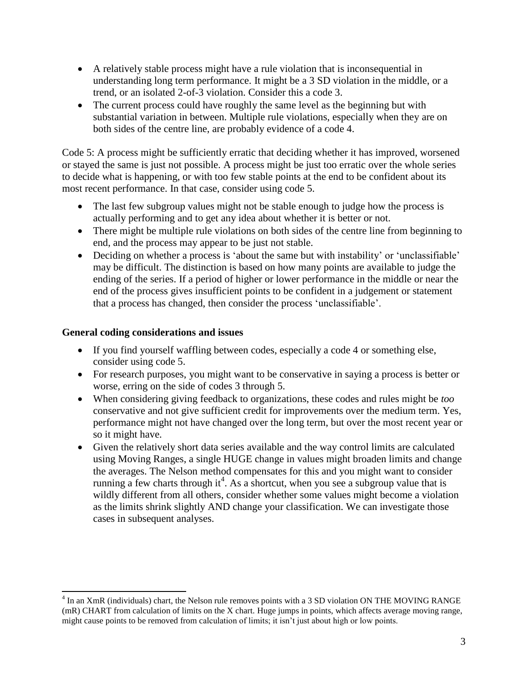- A relatively stable process might have a rule violation that is inconsequential in understanding long term performance. It might be a 3 SD violation in the middle, or a trend, or an isolated 2-of-3 violation. Consider this a code 3.
- The current process could have roughly the same level as the beginning but with substantial variation in between. Multiple rule violations, especially when they are on both sides of the centre line, are probably evidence of a code 4.

Code 5: A process might be sufficiently erratic that deciding whether it has improved, worsened or stayed the same is just not possible. A process might be just too erratic over the whole series to decide what is happening, or with too few stable points at the end to be confident about its most recent performance. In that case, consider using code 5.

- The last few subgroup values might not be stable enough to judge how the process is actually performing and to get any idea about whether it is better or not.
- There might be multiple rule violations on both sides of the centre line from beginning to end, and the process may appear to be just not stable.
- Deciding on whether a process is 'about the same but with instability' or 'unclassifiable' may be difficult. The distinction is based on how many points are available to judge the ending of the series. If a period of higher or lower performance in the middle or near the end of the process gives insufficient points to be confident in a judgement or statement that a process has changed, then consider the process "unclassifiable".

### **General coding considerations and issues**

- If you find yourself waffling between codes, especially a code 4 or something else, consider using code 5.
- For research purposes, you might want to be conservative in saying a process is better or worse, erring on the side of codes 3 through 5.
- When considering giving feedback to organizations, these codes and rules might be *too* conservative and not give sufficient credit for improvements over the medium term. Yes, performance might not have changed over the long term, but over the most recent year or so it might have.
- Given the relatively short data series available and the way control limits are calculated using Moving Ranges, a single HUGE change in values might broaden limits and change the averages. The Nelson method compensates for this and you might want to consider running a few charts through it<sup>4</sup>. As a shortcut, when you see a subgroup value that is wildly different from all others, consider whether some values might become a violation as the limits shrink slightly AND change your classification. We can investigate those cases in subsequent analyses.

 $\overline{a}$ <sup>4</sup> In an XmR (individuals) chart, the Nelson rule removes points with a 3 SD violation ON THE MOVING RANGE (mR) CHART from calculation of limits on the X chart. Huge jumps in points, which affects average moving range, might cause points to be removed from calculation of limits; it isn"t just about high or low points.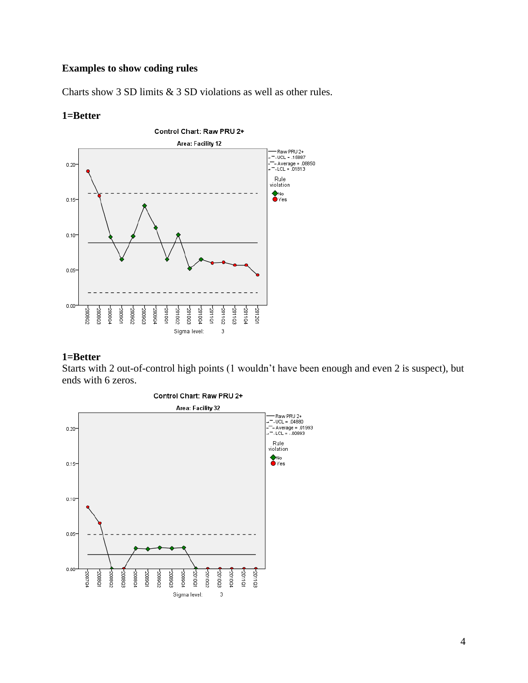# **Examples to show coding rules**

Charts show 3 SD limits & 3 SD violations as well as other rules.

#### **1=Better**



#### **1=Better**

Starts with 2 out-of-control high points (1 wouldn"t have been enough and even 2 is suspect), but ends with 6 zeros.

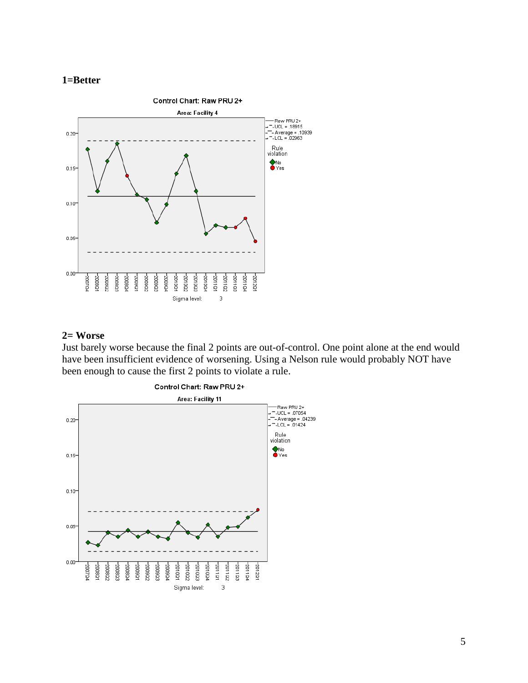



## **2= Worse**

Just barely worse because the final 2 points are out-of-control. One point alone at the end would have been insufficient evidence of worsening. Using a Nelson rule would probably NOT have been enough to cause the first 2 points to violate a rule.

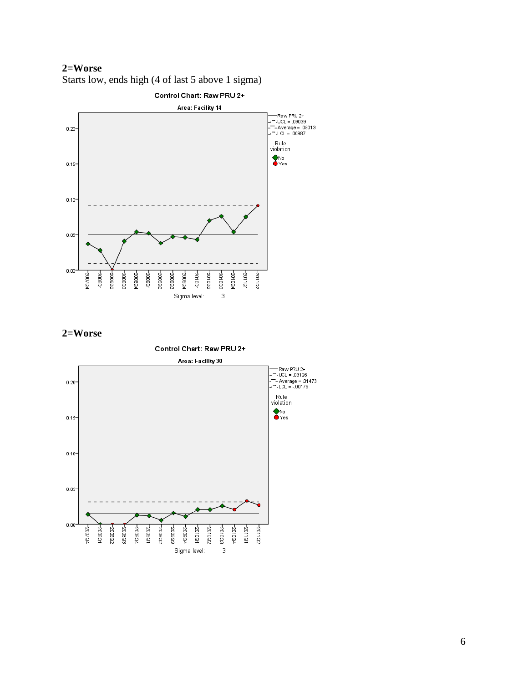**2=Worse** Starts low, ends high (4 of last 5 above 1 sigma)



### **2=Worse**

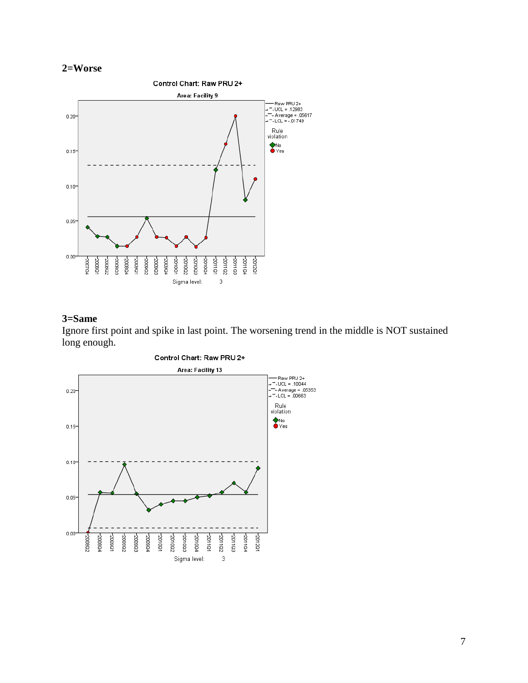# **2=Worse**



### **3=Same**

Ignore first point and spike in last point. The worsening trend in the middle is NOT sustained long enough.

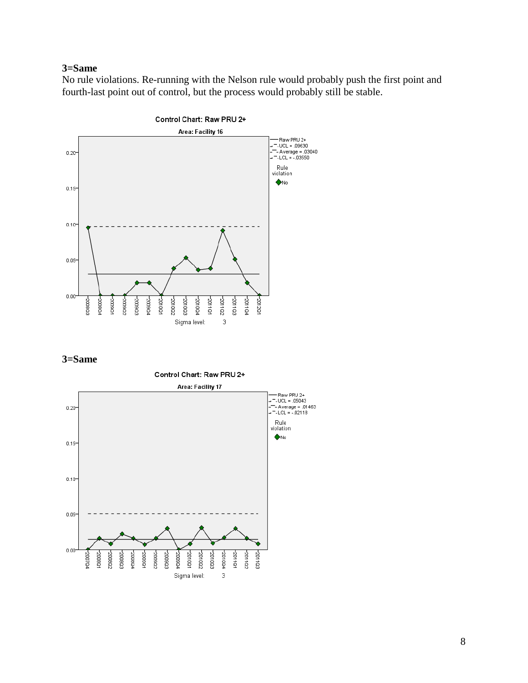#### **3=Same**

No rule violations. Re-running with the Nelson rule would probably push the first point and fourth-last point out of control, but the process would probably still be stable.



**3=Same**



8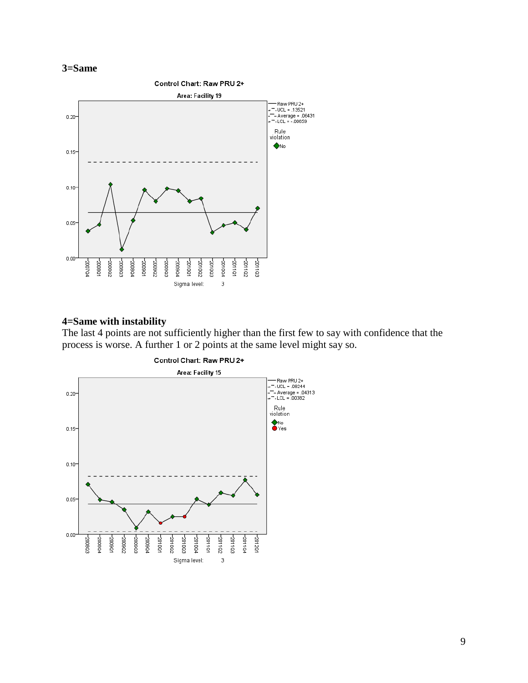



## **4=Same with instability**

The last 4 points are not sufficiently higher than the first few to say with confidence that the process is worse. A further 1 or 2 points at the same level might say so.

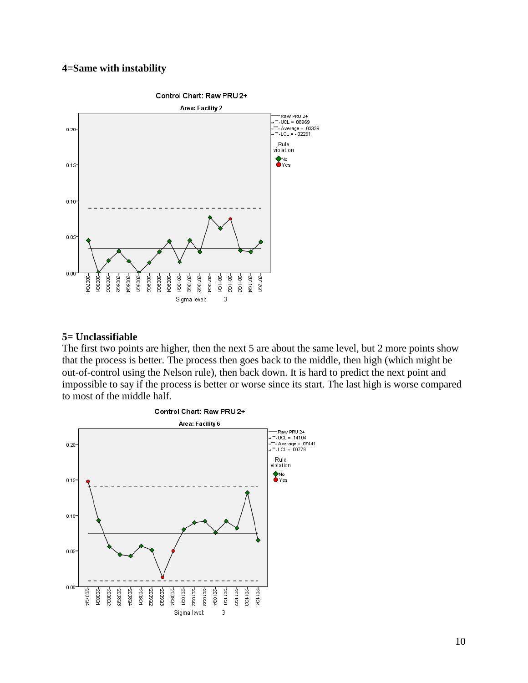### **4=Same with instability**



#### **5= Unclassifiable**

The first two points are higher, then the next 5 are about the same level, but 2 more points show that the process is better. The process then goes back to the middle, then high (which might be out-of-control using the Nelson rule), then back down. It is hard to predict the next point and impossible to say if the process is better or worse since its start. The last high is worse compared to most of the middle half.